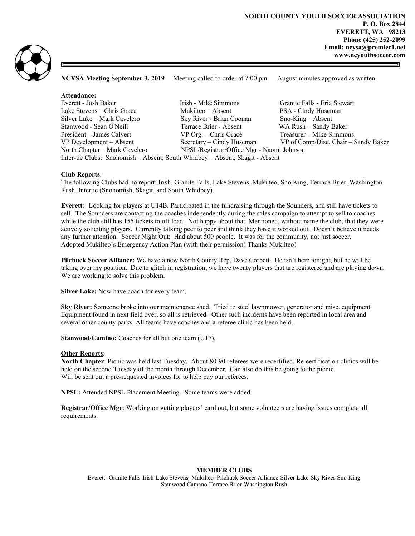

NCYSA Meeting September 3, 2019 Meeting called to order at 7:00 pm August minutes approved as written.

| Attendance:                                                                  |                                           |                                      |
|------------------------------------------------------------------------------|-------------------------------------------|--------------------------------------|
| Everett - Josh Baker                                                         | Irish - Mike Simmons                      | Granite Falls - Eric Stewart         |
| Lake Stevens – Chris Grace                                                   | Mukilteo – Absent                         | PSA - Cindy Huseman                  |
| Silver Lake – Mark Cavelero                                                  | Sky River - Brian Coonan                  | $Sno-King - Absent$                  |
| Stanwood - Sean O'Neill                                                      | Terrace Brier - Absent                    | WA Rush - Sandy Baker                |
| President – James Calvert                                                    | $VP$ Org. $-$ Chris Grace                 | Treasurer – Mike Simmons             |
| VP Development – Absent                                                      | Secretary – Cindy Huseman                 | VP of Comp/Disc. Chair – Sandy Baker |
| North Chapter – Mark Cavelero                                                | NPSL/Registrar/Office Mgr - Naomi Johnson |                                      |
| Inter-tie Clubs: Snohomish – Absent; South Whidbey – Absent; Skagit - Absent |                                           |                                      |

# Club Reports:

The following Clubs had no report: Irish, Granite Falls, Lake Stevens, Mukilteo, Sno King, Terrace Brier, Washington Rush, Intertie (Snohomish, Skagit, and South Whidbey).

Everett: Looking for players at U14B. Participated in the fundraising through the Sounders, and still have tickets to sell. The Sounders are contacting the coaches independently during the sales campaign to attempt to sell to coaches while the club still has 155 tickets to off load. Not happy about that. Mentioned, without name the club, that they were actively soliciting players. Currently talking peer to peer and think they have it worked out. Doesn't believe it needs any further attention. Soccer Night Out: Had about 500 people. It was for the community, not just soccer. Adopted Mukilteo's Emergency Action Plan (with their permission) Thanks Mukilteo!

Pilchuck Soccer Alliance: We have a new North County Rep, Dave Corbett. He isn't here tonight, but he will be taking over my position. Due to glitch in registration, we have twenty players that are registered and are playing down. We are working to solve this problem.

Silver Lake: Now have coach for every team.

Sky River: Someone broke into our maintenance shed. Tried to steel lawnmower, generator and misc. equipment. Equipment found in next field over, so all is retrieved. Other such incidents have been reported in local area and several other county parks. All teams have coaches and a referee clinic has been held.

Stanwood/Camino: Coaches for all but one team (U17).

#### **Other Reports:**

North Chapter: Picnic was held last Tuesday. About 80-90 referees were recertified. Re-certification clinics will be held on the second Tuesday of the month through December. Can also do this be going to the picnic. Will be sent out a pre-requested invoices for to help pay our referees.

NPSL: Attended NPSL Placement Meeting. Some teams were added.

Registrar/Office Mgr: Working on getting players' card out, but some volunteers are having issues complete all requirements.

### MEMBER CLUBS

Everett -Granite Falls-Irish-Lake Stevens–Mukilteo–Pilchuck Soccer Alliance-Silver Lake-Sky River-Sno King Stanwood Camano-Terrace Brier-Washington Rush